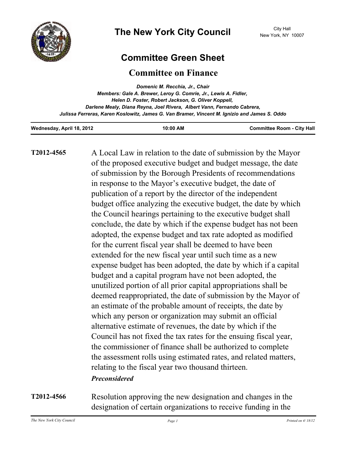

## **Committee Green Sheet**

## **Committee on Finance**

| Domenic M. Recchia, Jr., Chair                                                               |
|----------------------------------------------------------------------------------------------|
| Members: Gale A. Brewer, Leroy G. Comrie, Jr., Lewis A. Fidler,                              |
| Helen D. Foster, Robert Jackson, G. Oliver Koppell,                                          |
| Darlene Mealy, Diana Reyna, Joel Rivera, Albert Vann, Fernando Cabrera,                      |
| Julissa Ferreras, Karen Koslowitz, James G. Van Bramer, Vincent M. Ignizio and James S. Oddo |
|                                                                                              |

| Wednesday, April 18, 2012 | 10:00 AM | <b>Committee Room - City Hall</b> |
|---------------------------|----------|-----------------------------------|
|                           |          |                                   |

**T2012-4565**

A Local Law in relation to the date of submission by the Mayor of the proposed executive budget and budget message, the date of submission by the Borough Presidents of recommendations in response to the Mayor's executive budget, the date of publication of a report by the director of the independent budget office analyzing the executive budget, the date by which the Council hearings pertaining to the executive budget shall conclude, the date by which if the expense budget has not been adopted, the expense budget and tax rate adopted as modified for the current fiscal year shall be deemed to have been extended for the new fiscal year until such time as a new expense budget has been adopted, the date by which if a capital budget and a capital program have not been adopted, the unutilized portion of all prior capital appropriations shall be deemed reappropriated, the date of submission by the Mayor of an estimate of the probable amount of receipts, the date by which any person or organization may submit an official alternative estimate of revenues, the date by which if the Council has not fixed the tax rates for the ensuing fiscal year, the commissioner of finance shall be authorized to complete the assessment rolls using estimated rates, and related matters, relating to the fiscal year two thousand thirteen. *Preconsidered*

Resolution approving the new designation and changes in the designation of certain organizations to receive funding in the **T2012-4566**